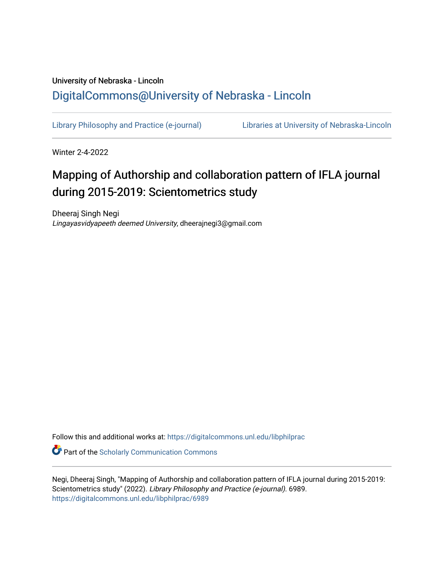## University of Nebraska - Lincoln [DigitalCommons@University of Nebraska - Lincoln](https://digitalcommons.unl.edu/)

[Library Philosophy and Practice \(e-journal\)](https://digitalcommons.unl.edu/libphilprac) [Libraries at University of Nebraska-Lincoln](https://digitalcommons.unl.edu/libraries) 

Winter 2-4-2022

# Mapping of Authorship and collaboration pattern of IFLA journal during 2015-2019: Scientometrics study

Dheeraj Singh Negi Lingayasvidyapeeth deemed University, dheerajnegi3@gmail.com

Follow this and additional works at: [https://digitalcommons.unl.edu/libphilprac](https://digitalcommons.unl.edu/libphilprac?utm_source=digitalcommons.unl.edu%2Flibphilprac%2F6989&utm_medium=PDF&utm_campaign=PDFCoverPages) 

**C** Part of the Scholarly Communication Commons

Negi, Dheeraj Singh, "Mapping of Authorship and collaboration pattern of IFLA journal during 2015-2019: Scientometrics study" (2022). Library Philosophy and Practice (e-journal). 6989. [https://digitalcommons.unl.edu/libphilprac/6989](https://digitalcommons.unl.edu/libphilprac/6989?utm_source=digitalcommons.unl.edu%2Flibphilprac%2F6989&utm_medium=PDF&utm_campaign=PDFCoverPages)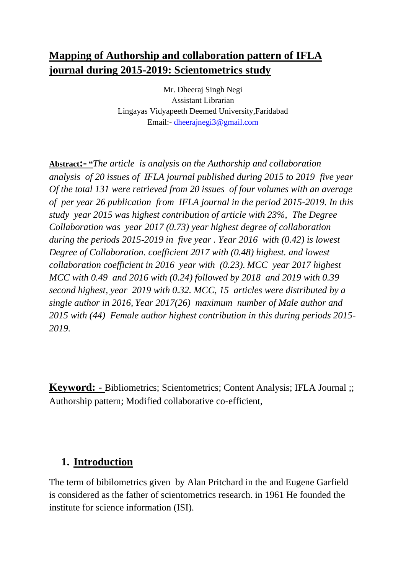## **Mapping of Authorship and collaboration pattern of IFLA journal during 2015-2019: Scientometrics study**

Mr. Dheeraj Singh Negi Assistant Librarian Lingayas Vidyapeeth Deemed University,Faridabad Email:- [dheerajnegi3@gmail.com](mailto:dheerajnegi3@gmail.com)

**Abstract:- "***The article is analysis on the Authorship and collaboration analysis of 20 issues of IFLA journal published during 2015 to 2019 five year Of the total 131 were retrieved from 20 issues of four volumes with an average of per year 26 publication from IFLA journal in the period 2015-2019. In this study year 2015 was highest contribution of article with 23%, The Degree Collaboration was year 2017 (0.73) year highest degree of collaboration during the periods 2015-2019 in five year . Year 2016 with (0.42) is lowest Degree of Collaboration. coefficient 2017 with (0.48) highest. and lowest collaboration coefficient in 2016 year with (0.23). MCC year 2017 highest MCC with 0.49 and 2016 with (0.24) followed by 2018 and 2019 with 0.39 second highest, year 2019 with 0.32. MCC, 15 articles were distributed by a single author in 2016, Year 2017(26) maximum number of Male author and 2015 with (44) Female author highest contribution in this during periods 2015- 2019.*

**Keyword: -** Bibliometrics; Scientometrics; Content Analysis; IFLA Journal ;; Authorship pattern; Modified collaborative co-efficient,

## **1. Introduction**

The term of bibilometrics given by Alan Pritchard in the and Eugene Garfield is considered as the father of scientometrics research. in 1961 He founded the institute for science information (ISI).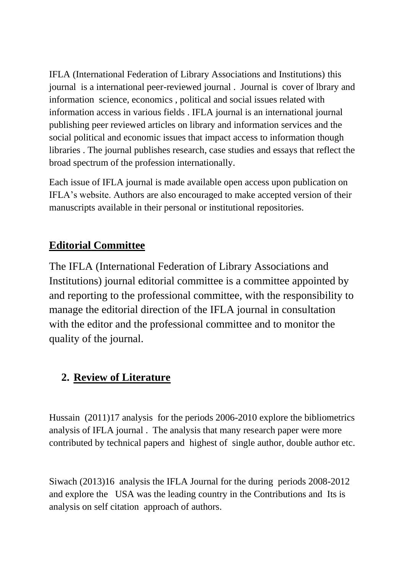IFLA (International Federation of Library Associations and Institutions) this journal is a international peer-reviewed journal . Journal is cover of lbrary and information science, economics , political and social issues related with information access in various fields . IFLA journal is an international journal publishing peer reviewed articles on library and information services and the social political and economic issues that impact access to information though libraries . The journal publishes research, case studies and essays that reflect the broad spectrum of the profession internationally.

Each issue of IFLA journal is made available open access upon publication on IFLA's website. Authors are also encouraged to make accepted version of their manuscripts available in their personal or institutional repositories.

## **Editorial Committee**

The IFLA (International Federation of Library Associations and Institutions) journal editorial committee is a committee appointed by and reporting to the professional committee, with the responsibility to manage the editorial direction of the IFLA journal in consultation with the editor and the professional committee and to monitor the quality of the journal.

## **2. Review of Literature**

Hussain (2011)17 analysis for the periods 2006-2010 explore the bibliometrics analysis of IFLA journal . The analysis that many research paper were more contributed by technical papers and highest of single author, double author etc.

Siwach (2013)16 analysis the IFLA Journal for the during periods 2008-2012 and explore the USA was the leading country in the Contributions and Its is analysis on self citation approach of authors.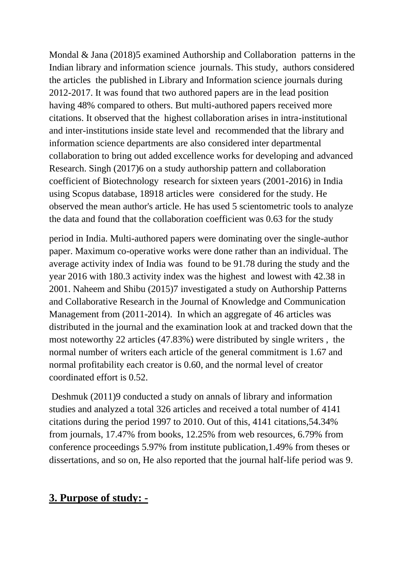Mondal & Jana (2018)5 examined Authorship and Collaboration patterns in the Indian library and information science journals. This study, authors considered the articles the published in Library and Information science journals during 2012-2017. It was found that two authored papers are in the lead position having 48% compared to others. But multi-authored papers received more citations. It observed that the highest collaboration arises in intra-institutional and inter-institutions inside state level and recommended that the library and information science departments are also considered inter departmental collaboration to bring out added excellence works for developing and advanced Research. Singh (2017)6 on a study authorship pattern and collaboration coefficient of Biotechnology research for sixteen years (2001-2016) in India using Scopus database, 18918 articles were considered for the study. He observed the mean author's article. He has used 5 scientometric tools to analyze the data and found that the collaboration coefficient was 0.63 for the study

period in India. Multi-authored papers were dominating over the single-author paper. Maximum co-operative works were done rather than an individual. The average activity index of India was found to be 91.78 during the study and the year 2016 with 180.3 activity index was the highest and lowest with 42.38 in 2001. Naheem and Shibu (2015)7 investigated a study on Authorship Patterns and Collaborative Research in the Journal of Knowledge and Communication Management from (2011-2014). In which an aggregate of 46 articles was distributed in the journal and the examination look at and tracked down that the most noteworthy 22 articles (47.83%) were distributed by single writers , the normal number of writers each article of the general commitment is 1.67 and normal profitability each creator is 0.60, and the normal level of creator coordinated effort is 0.52.

Deshmuk (2011)9 conducted a study on annals of library and information studies and analyzed a total 326 articles and received a total number of 4141 citations during the period 1997 to 2010. Out of this, 4141 citations,54.34% from journals, 17.47% from books, 12.25% from web resources, 6.79% from conference proceedings 5.97% from institute publication,1.49% from theses or dissertations, and so on, He also reported that the journal half-life period was 9.

## **3. Purpose of study: -**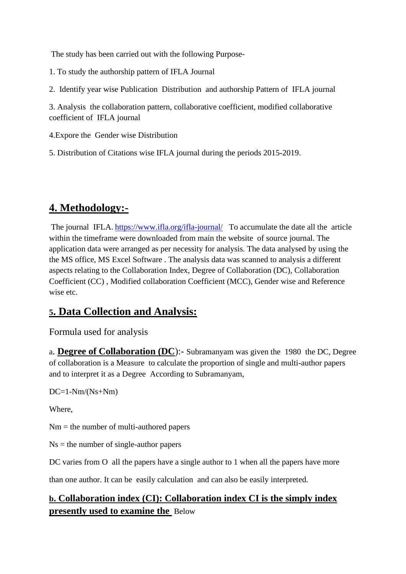The study has been carried out with the following Purpose-

1. To study the authorship pattern of IFLA Journal

2. Identify year wise Publication Distribution and authorship Pattern of IFLA journal

3. Analysis the collaboration pattern, collaborative coefficient, modified collaborative coefficient of IFLA journal

4.Expore the Gender wise Distribution

5. Distribution of Citations wise IFLA journal during the periods 2015-2019.

## **4. Methodology:-**

The journal IFLA. <https://www.ifla.org/ifla-journal/> To accumulate the date all the article within the timeframe were downloaded from main the website of source journal. The application data were arranged as per necessity for analysis. The data analysed by using the the MS office, MS Excel Software . The analysis data was scanned to analysis a different aspects relating to the Collaboration Index, Degree of Collaboration (DC), Collaboration Coefficient (CC) , Modified collaboration Coefficient (MCC), Gender wise and Reference wise etc.

## **5. Data Collection and Analysis:**

Formula used for analysis

a. **Degree of Collaboration (DC**):- Subramanyam was given the 1980 the DC, Degree of collaboration is a Measure to calculate the proportion of single and multi-author papers and to interpret it as a Degree According to Subramanyam,

 $DC=1-Nm/(Ns+Nm)$ 

Where,

 $Nm =$  the number of multi-authored papers

 $Ns =$  the number of single-author papers

DC varies from O all the papers have a single author to 1 when all the papers have more

than one author. It can be easily calculation and can also be easily interpreted.

### **b. Collaboration index (CI): Collaboration index CI is the simply index presently used to examine the** Below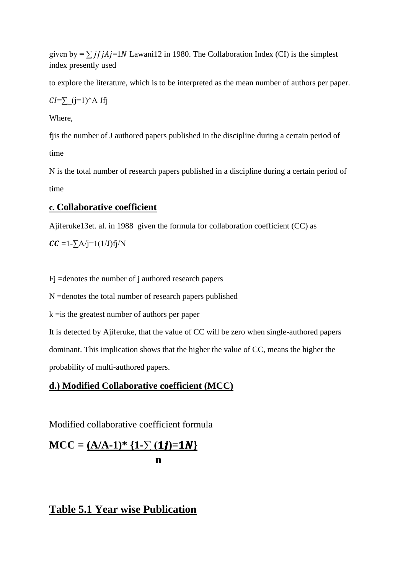given by =  $\sum$  jf jAj=1N Lawani12 in 1980. The Collaboration Index (CI) is the simplest index presently used

to explore the literature, which is to be interpreted as the mean number of authors per paper.

 $CI=\sum_{i=1}^{\infty}$  (j=1)^A Jfj

Where,

fjis the number of J authored papers published in the discipline during a certain period of time

N is the total number of research papers published in a discipline during a certain period of time

#### **c. Collaborative coefficient**

Ajiferuke13et. al. in 1988 given the formula for collaboration coefficient (CC) as

 $CC =1-\sum A/j=1(1/J) f j/N$ 

Fj =denotes the number of j authored research papers

N =denotes the total number of research papers published

k =is the greatest number of authors per paper

It is detected by Ajiferuke, that the value of CC will be zero when single-authored papers dominant. This implication shows that the higher the value of CC, means the higher the probability of multi-authored papers.

#### **d.) Modified Collaborative coefficient (MCC)**

Modified collaborative coefficient formula

 $MCC = (A/A-1)^* \{1-\sum (1j)=1N\}$ **n** 

### **Table 5.1 Year wise Publication**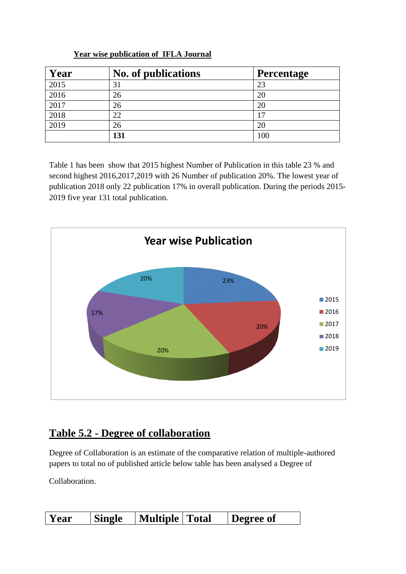| Year | No. of publications | Percentage |
|------|---------------------|------------|
| 2015 | 31                  | 23         |
| 2016 | 26                  | 20         |
| 2017 | 26                  | 20         |
| 2018 | 22                  |            |
| 2019 | 26                  | 20         |
|      | 131                 | 100        |

#### **Year wise publication of IFLA Journal**

Table 1 has been show that 2015 highest Number of Publication in this table 23 % and second highest 2016,2017,2019 with 26 Number of publication 20%. The lowest year of publication 2018 only 22 publication 17% in overall publication. During the periods 2015- 2019 five year 131 total publication.



## **Table 5.2 - Degree of collaboration**

Degree of Collaboration is an estimate of the comparative relation of multiple-authored papers to total no of published article below table has been analysed a Degree of

Collaboration.

| <b>Single</b><br>  Year | ' Multiple   Total |  | Degree of |
|-------------------------|--------------------|--|-----------|
|-------------------------|--------------------|--|-----------|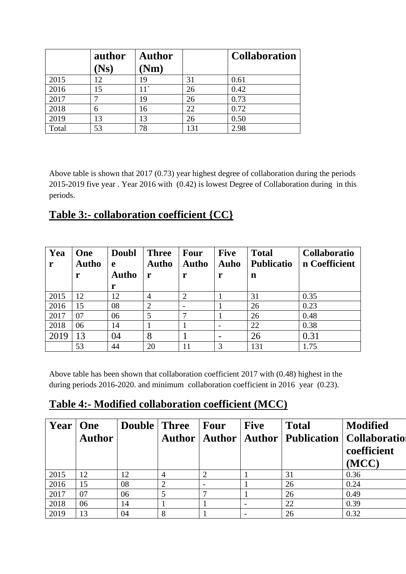|       | author            | <b>Author</b> |    | <b>Collaboration</b> |
|-------|-------------------|---------------|----|----------------------|
|       | $N_{\mathbf{S}})$ | <b>Nm</b> )   |    |                      |
| 2015  | 12                | 19            | 31 | 0.61                 |
| 2016  | 15                | $11^{\circ}$  | 26 | 0.42                 |
| 2017  |                   | 19            | 26 | 0.73                 |
| 2018  | 6                 | 16            | 22 | 0.72                 |
| 2019  | 13                | 13            | 26 | 0.50                 |
| Total | 53                | 78            |    | 2.98                 |

Above table is shown that 2017 (0.73) year highest degree of collaboration during the periods 2015-2019 five year . Year 2016 with (0.42) is lowest Degree of Collaboration during in this periods.

## **Table 3:- collaboration coefficient {CC}**

| Yea<br>r | One<br><b>Autho</b><br>r | Doubl<br>e<br><b>Autho</b><br>r | <b>Three</b><br><b>Autho</b><br>r | <b>Four</b><br><b>Autho</b><br>r | <b>Five</b><br>Auho<br>r | <b>Total</b><br><b>Publicatio</b><br>n | <b>Collaboratio</b><br>n Coefficient |
|----------|--------------------------|---------------------------------|-----------------------------------|----------------------------------|--------------------------|----------------------------------------|--------------------------------------|
| 2015     | 12                       | 12                              | 4                                 | 2                                |                          | 31                                     | 0.35                                 |
| 2016     | 15                       | 08                              | $\overline{2}$                    |                                  |                          | 26                                     | 0.23                                 |
| 2017     | 07                       | 06                              | 5                                 |                                  |                          | 26                                     | 0.48                                 |
| 2018     | 06                       | 14                              |                                   |                                  |                          | 22                                     | 0.38                                 |
| 2019     | 13                       | 04                              | 8                                 |                                  |                          | 26                                     | 0.31                                 |
|          | 53                       | 44                              | 20                                | 11                               | 3                        | 131                                    | 1.75                                 |

Above table has been shown that collaboration coefficient 2017 with (0.48) highest in the during periods 2016-2020. and minimum collaboration coefficient in 2016 year (0.23).

## **Table 4:- Modified collaboration coefficient (MCC)**

| Year | One<br><b>Author</b> | <b>Double</b> Three |   | Four | <b>Five</b> | <b>Total</b> | <b>Modified</b><br>Author   Author   Author   Publication   Collaboration<br>coefficient<br>(MCC) |
|------|----------------------|---------------------|---|------|-------------|--------------|---------------------------------------------------------------------------------------------------|
| 2015 | 12                   | 12                  | 4 |      |             | 31           | 0.36                                                                                              |
| 2016 | 15                   | 08                  | 2 |      |             | 26           | 0.24                                                                                              |
| 2017 | 07                   | 06                  |   |      |             | 26           | 0.49                                                                                              |
| 2018 | 06                   | 14                  |   |      |             | 22           | 0.39                                                                                              |
| 2019 | 13                   | 04                  | 8 |      |             | 26           | 0.32                                                                                              |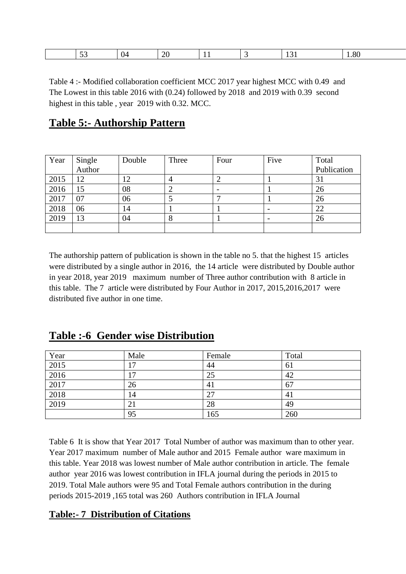|  | $\sim$ $\sim$ $\sim$ |  | ∠⊾ |  |  |  | יי |
|--|----------------------|--|----|--|--|--|----|
|--|----------------------|--|----|--|--|--|----|

Table 4 :- Modified collaboration coefficient MCC 2017 year highest MCC with 0.49 and The Lowest in this table 2016 with (0.24) followed by 2018 and 2019 with 0.39 second highest in this table , year 2019 with 0.32. MCC.

## **Table 5:- Authorship Pattern**

| Year | Single<br>Author | Double        | Three | Four | Five | Total       |
|------|------------------|---------------|-------|------|------|-------------|
|      |                  |               |       |      |      | Publication |
| 2015 | 12               |               |       |      |      | 31          |
| 2016 | 15               | 08            |       |      |      | 26          |
| 2017 | 07               | 06            |       |      |      | 26          |
| 2018 | 06               | $\mathbf{14}$ |       |      |      | 22          |
| 2019 | 13               | 04            |       |      |      | 26          |
|      |                  |               |       |      |      |             |

The authorship pattern of publication is shown in the table no 5. that the highest 15 articles were distributed by a single author in 2016, the 14 article were distributed by Double author in year 2018, year 2019 maximum number of Three author contribution with 8 article in this table. The 7 article were distributed by Four Author in 2017, 2015,2016,2017 were distributed five author in one time.

### **Table :-6 Gender wise Distribution**

| Year                | Male | Female | Total |
|---------------------|------|--------|-------|
| 2015                | 17   | 44     | 61    |
| 2016                | ۱7   | 25     | 42    |
| 2017                | 26   | 41     | 67    |
| $\frac{2018}{2019}$ | 14   | 27     | 41    |
|                     | 21   | 28     | 49    |
|                     | 95   | 165    | 260   |

Table 6 It is show that Year 2017 Total Number of author was maximum than to other year. Year 2017 maximum number of Male author and 2015 Female author ware maximum in this table. Year 2018 was lowest number of Male author contribution in article. The female author year 2016 was lowest contribution in IFLA journal during the periods in 2015 to 2019. Total Male authors were 95 and Total Female authors contribution in the during periods 2015-2019 ,165 total was 260 Authors contribution in IFLA Journal

#### **Table:- 7 Distribution of Citations**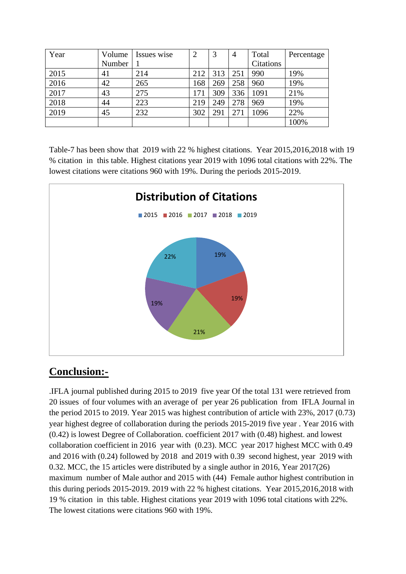| Year | Volume | Issues wise | $\overline{2}$ | 3   | $\overline{4}$ | Total            | Percentage |
|------|--------|-------------|----------------|-----|----------------|------------------|------------|
|      | Number |             |                |     |                | <b>Citations</b> |            |
| 2015 | 41     | 214         | 212            | 313 | 251            | 990              | 19%        |
| 2016 | 42     | 265         | 168            | 269 | 258            | 960              | 19%        |
| 2017 | 43     | 275         | 171            | 309 | 336            | 1091             | 21%        |
| 2018 | 44     | 223         | 219            | 249 | 278            | 969              | 19%        |
| 2019 | 45     | 232         | 302            | 291 | 271            | 1096             | 22%        |
|      |        |             |                |     |                |                  | 100%       |

Table-7 has been show that 2019 with 22 % highest citations. Year 2015,2016,2018 with 19 % citation in this table. Highest citations year 2019 with 1096 total citations with 22%. The lowest citations were citations 960 with 19%. During the periods 2015-2019.



## **Conclusion:-**

.IFLA journal published during 2015 to 2019 five year Of the total 131 were retrieved from 20 issues of four volumes with an average of per year 26 publication from IFLA Journal in the period 2015 to 2019. Year 2015 was highest contribution of article with 23%, 2017 (0.73) year highest degree of collaboration during the periods 2015-2019 five year . Year 2016 with (0.42) is lowest Degree of Collaboration. coefficient 2017 with (0.48) highest. and lowest collaboration coefficient in 2016 year with (0.23). MCC year 2017 highest MCC with 0.49 and 2016 with (0.24) followed by 2018 and 2019 with 0.39 second highest, year 2019 with 0.32. MCC, the 15 articles were distributed by a single author in 2016, Year 2017(26) maximum number of Male author and 2015 with (44) Female author highest contribution in this during periods 2015-2019. 2019 with 22 % highest citations. Year 2015,2016,2018 with 19 % citation in this table. Highest citations year 2019 with 1096 total citations with 22%. The lowest citations were citations 960 with 19%.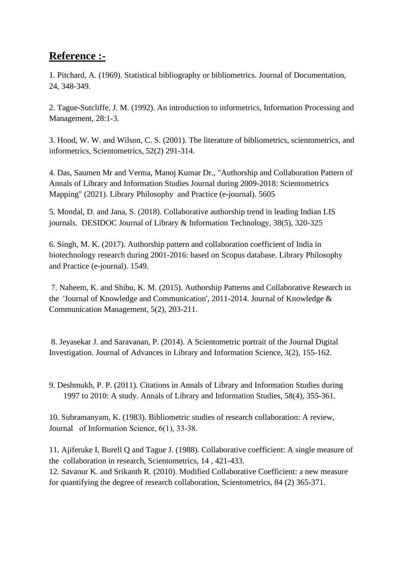### **Reference :-**

1. Pitchard, A. (1969). Statistical bibliography or bibliometrics. Journal of Documentation, 24, 348-349.

2. Tague-Sutcliffe, J. M. (1992). An introduction to informetrics, Information Processing and Management, 28:1-3.

3. Hood, W. W. and Wilson, C. S. (2001). The literature of bibliometrics, scientometrics, and informetrics, Scientometrics, 52(2) 291-314.

4. Das, Saumen Mr and Verma, Manoj Kumar Dr., "Authorship and Collaboration Pattern of Annals of Library and Information Studies Journal during 2009-2018: Scientometrics Mapping" (2021). Library Philosophy and Practice (e-journal). 5605

5. Mondal, D. and Jana, S. (2018). Collaborative authorship trend in leading Indian LIS journals. DESIDOC Journal of Library & Information Technology, 38(5), 320-325

6. Singh, M. K. (2017). Authorship pattern and collaboration coefficient of India in biotechnology research during 2001-2016: based on Scopus database. Library Philosophy and Practice (e-journal). 1549.

7. Naheem, K. and Shibu, K. M. (2015). Authorship Patterns and Collaborative Research in the 'Journal of Knowledge and Communication', 2011-2014. Journal of Knowledge & Communication Management, 5(2), 203-211.

8. Jeyasekar J. and Saravanan, P. (2014). A Scientometric portrait of the Journal Digital Investigation. Journal of Advances in Library and Information Science, 3(2), 155-162.

9. Deshmukh, P. P. (2011). Citations in Annals of Library and Information Studies during 1997 to 2010: A study. Annals of Library and Information Studies, 58(4), 355-361.

10. Subramanyam, K. (1983). Bibliometric studies of research collaboration: A review, Journal of Information Science, 6(1), 33‑38.

11. Ajiferuke I, Burell Q and Tague J. (1988). Collaborative coefficient: A single measure of the collaboration in research, Scientometrics, 14 , 421-433.

12. Savanur K. and Srikanth R. (2010). Modified Collaborative Coefficient: a new measure for quantifying the degree of research collaboration, Scientometrics, 84 (2) 365-371.